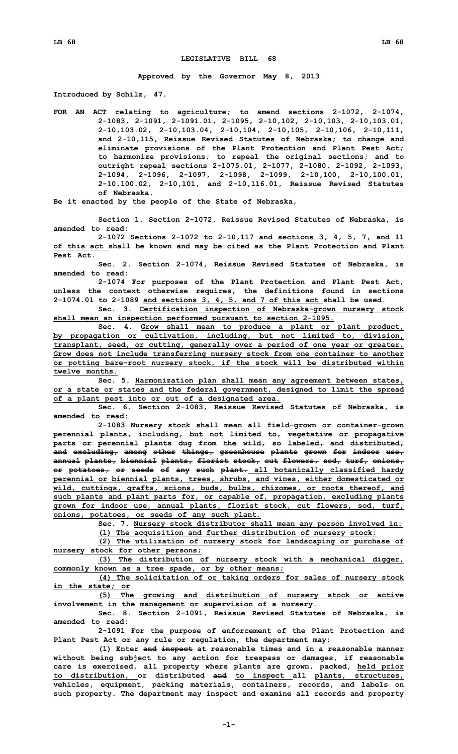## **LEGISLATIVE BILL 68**

**Approved by the Governor May 8, 2013**

**Introduced by Schilz, 47.**

**FOR AN ACT relating to agriculture; to amend sections 2-1072, 2-1074, 2-1083, 2-1091, 2-1091.01, 2-1095, 2-10,102, 2-10,103, 2-10,103.01, 2-10,103.02, 2-10,103.04, 2-10,104, 2-10,105, 2-10,106, 2-10,111, and 2-10,115, Reissue Revised Statutes of Nebraska; to change and eliminate provisions of the Plant Protection and Plant Pest Act; to harmonize provisions; to repeal the original sections; and to outright repeal sections 2-1075.01, 2-1077, 2-1080, 2-1092, 2-1093, 2-1094, 2-1096, 2-1097, 2-1098, 2-1099, 2-10,100, 2-10,100.01, 2-10,100.02, 2-10,101, and 2-10,116.01, Reissue Revised Statutes of Nebraska.**

**Be it enacted by the people of the State of Nebraska,**

**Section 1. Section 2-1072, Reissue Revised Statutes of Nebraska, is amended to read:**

**2-1072 Sections 2-1072 to 2-10,117 and sections 3, 4, 5, 7, and 11 of this act shall be known and may be cited as the Plant Protection and Plant Pest Act.**

**Sec. 2. Section 2-1074, Reissue Revised Statutes of Nebraska, is amended to read:**

**2-1074 For purposes of the Plant Protection and Plant Pest Act, unless the context otherwise requires, the definitions found in sections 2-1074.01 to 2-1089 and sections 3, 4, 5, and 7 of this act shall be used.**

**Sec. 3. Certification inspection of Nebraska-grown nursery stock shall mean an inspection performed pursuant to section 2-1095.**

**Sec. 4. Grow shall mean to produce <sup>a</sup> plant or plant product, by propagation or cultivation, including, but not limited to, division, transplant, seed, or cutting, generally over <sup>a</sup> period of one year or greater. Grow does not include transferring nursery stock from one container to another or potting bare-root nursery stock, if the stock will be distributed within twelve months.**

**Sec. 5. Harmonization plan shall mean any agreement between states, or <sup>a</sup> state or states and the federal government, designed to limit the spread of <sup>a</sup> plant pest into or out of <sup>a</sup> designated area.**

**Sec. 6. Section 2-1083, Reissue Revised Statutes of Nebraska, is amended to read:**

**2-1083 Nursery stock shall mean all field-grown or container-grown perennial plants, including, but not limited to, vegetative or propagative parts or perennial plants dug from the wild, so labeled, and distributed, and excluding, among other things, greenhouse plants grown for indoor use, annual plants, biennial plants, florist stock, cut flowers, sod, turf, onions, or potatoes, or seeds of any such plant. all botanically classified hardy perennial or biennial plants, trees, shrubs, and vines, either domesticated or wild, cuttings, grafts, scions, buds, bulbs, rhizomes, or roots thereof, and such plants and plant parts for, or capable of, propagation, excluding plants grown for indoor use, annual plants, florist stock, cut flowers, sod, turf, onions, potatoes, or seeds of any such plant.**

**Sec. 7. Nursery stock distributor shall mean any person involved in:**

**(1) The acquisition and further distribution of nursery stock; (2) The utilization of nursery stock for landscaping or purchase of**

**nursery stock for other persons;**

**(3) The distribution of nursery stock with <sup>a</sup> mechanical digger, commonly known as <sup>a</sup> tree spade, or by other means;**

**(4) The solicitation of or taking orders for sales of nursery stock in the state; or**

**(5) The growing and distribution of nursery stock or active involvement in the management or supervision of <sup>a</sup> nursery.**

**Sec. 8. Section 2-1091, Reissue Revised Statutes of Nebraska, is amended to read:**

**2-1091 For the purpose of enforcement of the Plant Protection and Plant Pest Act or any rule or regulation, the department may:**

**(1) Enter and inspect at reasonable times and in <sup>a</sup> reasonable manner without being subject to any action for trespass or damages, if reasonable care is exercised, all property where plants are grown, packed, held prior to distribution, or distributed and to inspect all plants, structures, vehicles, equipment, packing materials, containers, records, and labels on such property. The department may inspect and examine all records and property**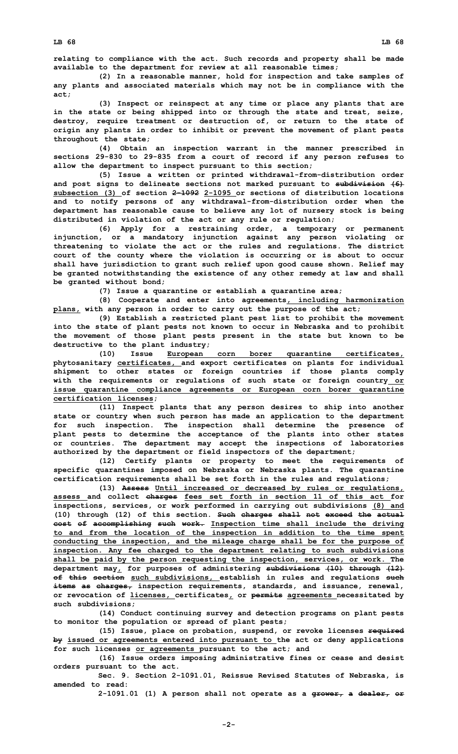**relating to compliance with the act. Such records and property shall be made available to the department for review at all reasonable times;**

**(2) In <sup>a</sup> reasonable manner, hold for inspection and take samples of any plants and associated materials which may not be in compliance with the act;**

**(3) Inspect or reinspect at any time or place any plants that are in the state or being shipped into or through the state and treat, seize, destroy, require treatment or destruction of, or return to the state of origin any plants in order to inhibit or prevent the movement of plant pests throughout the state;**

**(4) Obtain an inspection warrant in the manner prescribed in sections 29-830 to 29-835 from <sup>a</sup> court of record if any person refuses to allow the department to inspect pursuant to this section;**

**(5) Issue <sup>a</sup> written or printed withdrawal-from-distribution order and post signs to delineate sections not marked pursuant to subdivision (6) subsection (3) of section 2-1092 2-1095 or sections of distribution locations and to notify persons of any withdrawal-from-distribution order when the department has reasonable cause to believe any lot of nursery stock is being distributed in violation of the act or any rule or regulation;**

**(6) Apply for <sup>a</sup> restraining order, <sup>a</sup> temporary or permanent injunction, or <sup>a</sup> mandatory injunction against any person violating or threatening to violate the act or the rules and regulations. The district court of the county where the violation is occurring or is about to occur shall have jurisdiction to grant such relief upon good cause shown. Relief may be granted notwithstanding the existence of any other remedy at law and shall be granted without bond;**

**(7) Issue <sup>a</sup> quarantine or establish <sup>a</sup> quarantine area;**

**(8) Cooperate and enter into agreements, including harmonization plans, with any person in order to carry out the purpose of the act;**

**(9) Establish <sup>a</sup> restricted plant pest list to prohibit the movement into the state of plant pests not known to occur in Nebraska and to prohibit the movement of those plant pests present in the state but known to be destructive to the plant industry;**

**(10) Issue European corn borer quarantine certificates, phytosanitary certificates, and export certificates on plants for individual shipment to other states or foreign countries if those plants comply with the requirements or regulations of such state or foreign country or issue quarantine compliance agreements or European corn borer quarantine certification licenses;**

**(11) Inspect plants that any person desires to ship into another state or country when such person has made an application to the department for such inspection. The inspection shall determine the presence of plant pests to determine the acceptance of the plants into other states or countries. The department may accept the inspections of laboratories authorized by the department or field inspectors of the department;**

**(12) Certify plants or property to meet the requirements of specific quarantines imposed on Nebraska or Nebraska plants. The quarantine certification requirements shall be set forth in the rules and regulations;**

**(13) Assess Until increased or decreased by rules or regulations, assess and collect charges fees set forth in section 11 of this act for inspections, services, or work performed in carrying out subdivisions (8) and (10) through (12) of this section. Such charges shall not exceed the actual cost of accomplishing such work. Inspection time shall include the driving to and from the location of the inspection in addition to the time spent conducting the inspection, and the mileage charge shall be for the purpose of inspection. Any fee charged to the department relating to such subdivisions shall be paid by the person requesting the inspection, services, or work. The department may, for purposes of administering subdivisions (10) through (12) of this section such subdivisions, establish in rules and regulations such items as charges, inspection requirements, standards, and issuance, renewal, or revocation of licenses, certificates, or permits agreements necessitated by such subdivisions;**

**(14) Conduct continuing survey and detection programs on plant pests to monitor the population or spread of plant pests;**

**(15) Issue, place on probation, suspend, or revoke licenses required by issued or agreements entered into pursuant to the act or deny applications for such licenses or agreements pursuant to the act; and**

**(16) Issue orders imposing administrative fines or cease and desist orders pursuant to the act.**

**Sec. 9. Section 2-1091.01, Reissue Revised Statutes of Nebraska, is amended to read:**

**2-1091.01 (1) <sup>A</sup> person shall not operate as <sup>a</sup> grower, <sup>a</sup> dealer, or**

**-2-**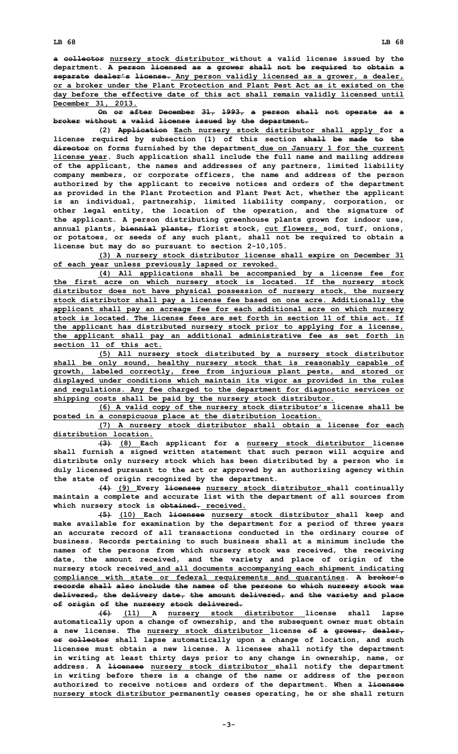**<sup>a</sup> collector nursery stock distributor without <sup>a</sup> valid license issued by the department. A person licensed as <sup>a</sup> grower shall not be required to obtain <sup>a</sup> separate dealer's license. Any person validly licensed as <sup>a</sup> grower, <sup>a</sup> dealer, or a broker under the Plant Protection and Plant Pest Act as it existed on the day before the effective date of this act shall remain validly licensed until December 31, 2013.**

**On or after December 31, 1993, <sup>a</sup> person shall not operate as <sup>a</sup> broker without <sup>a</sup> valid license issued by the department.**

**(2) Application Each nursery stock distributor shall apply for <sup>a</sup> license required by subsection (1) of this section shall be made to the director on forms furnished by the department due on January 1 for the current license year. Such application shall include the full name and mailing address of the applicant, the names and addresses of any partners, limited liability company members, or corporate officers, the name and address of the person authorized by the applicant to receive notices and orders of the department as provided in the Plant Protection and Plant Pest Act, whether the applicant is an individual, partnership, limited liability company, corporation, or other legal entity, the location of the operation, and the signature of the applicant. A person distributing greenhouse plants grown for indoor use, annual plants, biennial plants, florist stock, cut flowers, sod, turf, onions, or potatoes, or seeds of any such plant, shall not be required to obtain <sup>a</sup> license but may do so pursuant to section 2-10,105.**

**(3) <sup>A</sup> nursery stock distributor license shall expire on December 31 of each year unless previously lapsed or revoked.**

**(4) All applications shall be accompanied by <sup>a</sup> license fee for the first acre on which nursery stock is located. If the nursery stock distributor does not have physical possession of nursery stock, the nursery stock distributor shall pay <sup>a</sup> license fee based on one acre. Additionally the applicant shall pay an acreage fee for each additional acre on which nursery stock is located. The license fees are set forth in section 11 of this act. If the applicant has distributed nursery stock prior to applying for <sup>a</sup> license, the applicant shall pay an additional administrative fee as set forth in section 11 of this act.**

**(5) All nursery stock distributed by <sup>a</sup> nursery stock distributor shall be only sound, healthy nursery stock that is reasonably capable of growth, labeled correctly, free from injurious plant pests, and stored or displayed under conditions which maintain its vigor as provided in the rules and regulations. Any fee charged to the department for diagnostic services or shipping costs shall be paid by the nursery stock distributor.**

**(6) <sup>A</sup> valid copy of the nursery stock distributor's license shall be posted in <sup>a</sup> conspicuous place at the distribution location.**

**(7) <sup>A</sup> nursery stock distributor shall obtain <sup>a</sup> license for each distribution location.**

**(3) (8) Each applicant for <sup>a</sup> nursery stock distributor license shall furnish <sup>a</sup> signed written statement that such person will acquire and distribute only nursery stock which has been distributed by <sup>a</sup> person who is duly licensed pursuant to the act or approved by an authorizing agency within the state of origin recognized by the department.**

**(4) (9) Every licensee nursery stock distributor shall continually maintain <sup>a</sup> complete and accurate list with the department of all sources from which nursery stock is obtained. received.**

**(5) (10) Each licensee nursery stock distributor shall keep and make available for examination by the department for <sup>a</sup> period of three years an accurate record of all transactions conducted in the ordinary course of business. Records pertaining to such business shall at <sup>a</sup> minimum include the names of the persons from which nursery stock was received, the receiving date, the amount received, and the variety and place of origin of the nursery stock received and all documents accompanying each shipment indicating compliance with state or federal requirements and quarantines. A broker's records shall also include the names of the persons to which nursery stock was delivered, the delivery date, the amount delivered, and the variety and place of origin of the nursery stock delivered.**

**(6) (11) <sup>A</sup> nursery stock distributor license shall lapse automatically upon <sup>a</sup> change of ownership, and the subsequent owner must obtain <sup>a</sup> new license. The nursery stock distributor license of <sup>a</sup> grower, dealer, or collector shall lapse automatically upon <sup>a</sup> change of location, and such licensee must obtain <sup>a</sup> new license. A licensee shall notify the department in writing at least thirty days prior to any change in ownership, name, or address. A licensee nursery stock distributor shall notify the department in writing before there is <sup>a</sup> change of the name or address of the person authorized to receive notices and orders of the department. When <sup>a</sup> licensee nursery stock distributor permanently ceases operating, he or she shall return**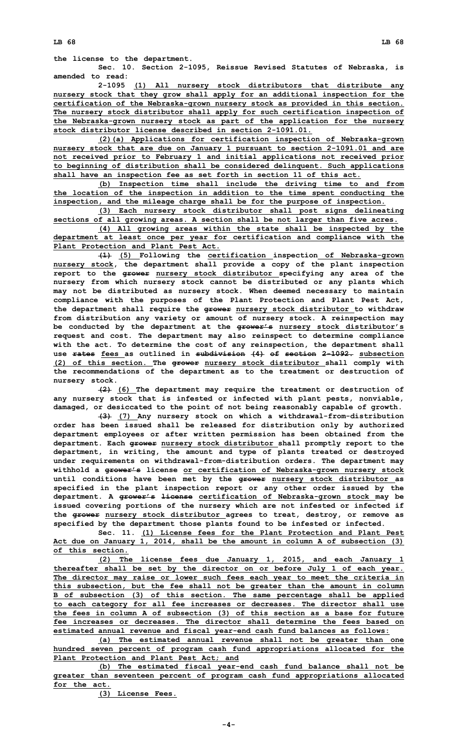**the license to the department.**

**Sec. 10. Section 2-1095, Reissue Revised Statutes of Nebraska, is amended to read:**

**2-1095 (1) All nursery stock distributors that distribute any nursery stock that they grow shall apply for an additional inspection for the certification of the Nebraska-grown nursery stock as provided in this section. The nursery stock distributor shall apply for such certification inspection of the Nebraska-grown nursery stock as part of the application for the nursery stock distributor license described in section 2-1091.01.**

**(2)(a) Applications for certification inspection of Nebraska-grown nursery stock that are due on January 1 pursuant to section 2-1091.01 and are not received prior to February 1 and initial applications not received prior to beginning of distribution shall be considered delinquent. Such applications shall have an inspection fee as set forth in section 11 of this act.**

**(b) Inspection time shall include the driving time to and from the location of the inspection in addition to the time spent conducting the inspection, and the mileage charge shall be for the purpose of inspection.**

**(3) Each nursery stock distributor shall post signs delineating sections of all growing areas. A section shall be not larger than five acres.**

**(4) All growing areas within the state shall be inspected by the department at least once per year for certification and compliance with the Plant Protection and Plant Pest Act.**

**(1) (5) Following the certification inspection of Nebraska-grown nursery stock, the department shall provide <sup>a</sup> copy of the plant inspection report to the grower nursery stock distributor specifying any area of the nursery from which nursery stock cannot be distributed or any plants which may not be distributed as nursery stock. When deemed necessary to maintain compliance with the purposes of the Plant Protection and Plant Pest Act, the department shall require the grower nursery stock distributor to withdraw from distribution any variety or amount of nursery stock. A reinspection may be conducted by the department at the grower's nursery stock distributor's request and cost. The department may also reinspect to determine compliance with the act. To determine the cost of any reinspection, the department shall use rates fees as outlined in subdivision (4) of section 2-1092. subsection (2) of this section. The grower nursery stock distributor shall comply with the recommendations of the department as to the treatment or destruction of nursery stock.**

**(2) (6) The department may require the treatment or destruction of any nursery stock that is infested or infected with plant pests, nonviable, damaged, or desiccated to the point of not being reasonably capable of growth.**

**(3) (7) Any nursery stock on which <sup>a</sup> withdrawal-from-distribution order has been issued shall be released for distribution only by authorized department employees or after written permission has been obtained from the department. Each grower nursery stock distributor shall promptly report to the department, in writing, the amount and type of plants treated or destroyed under requirements on withdrawal-from-distribution orders. The department may withhold <sup>a</sup> grower's license or certification of Nebraska-grown nursery stock until conditions have been met by the grower nursery stock distributor as specified in the plant inspection report or any other order issued by the department. A grower's license certification of Nebraska-grown stock may be issued covering portions of the nursery which are not infested or infected if the grower nursery stock distributor agrees to treat, destroy, or remove as specified by the department those plants found to be infested or infected.**

**Sec. 11. (1) License fees for the Plant Protection and Plant Pest Act due on January 1, 2014, shall be the amount in column <sup>A</sup> of subsection (3) of this section.**

**(2) The license fees due January 1, 2015, and each January 1 thereafter shall be set by the director on or before July 1 of each year. The director may raise or lower such fees each year to meet the criteria in this subsection, but the fee shall not be greater than the amount in column <sup>B</sup> of subsection (3) of this section. The same percentage shall be applied to each category for all fee increases or decreases. The director shall use the fees in column A of subsection (3) of this section as <sup>a</sup> base for future fee increases or decreases. The director shall determine the fees based on estimated annual revenue and fiscal year-end cash fund balances as follows:**

**(a) The estimated annual revenue shall not be greater than one hundred seven percent of program cash fund appropriations allocated for the Plant Protection and Plant Pest Act; and**

**(b) The estimated fiscal year-end cash fund balance shall not be greater than seventeen percent of program cash fund appropriations allocated for the act.**

**(3) License Fees.**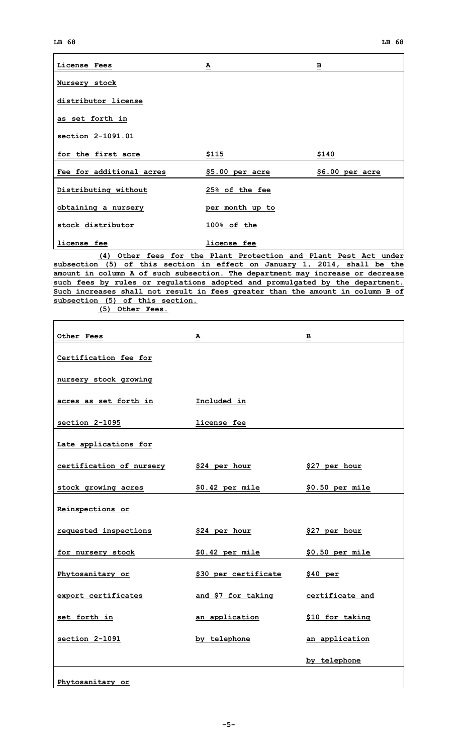| License Fees             | ≙               | $\overline{\mathbf{B}}$ |
|--------------------------|-----------------|-------------------------|
| Nursery stock            |                 |                         |
| distributor license      |                 |                         |
| as set forth in          |                 |                         |
| section 2-1091.01        |                 |                         |
| for the first acre       | \$115           | \$140                   |
| Fee for additional acres | \$5.00 per acre | \$6.00~per~arc          |
| Distributing without     | 25% of the fee  |                         |
| obtaining a nursery      | per month up to |                         |
| stock distributor        | 100% of the     |                         |
| license fee              | license fee     |                         |

**(4) Other fees for the Plant Protection and Plant Pest Act under subsection (5) of this section in effect on January 1, 2014, shall be the amount in column A of such subsection. The department may increase or decrease such fees by rules or regulations adopted and promulgated by the department. Such increases shall not result in fees greater than the amount in column B of subsection (5) of this section.**

**(5) Other Fees.**

| <b>Other Fees</b>        | А                    | в                |
|--------------------------|----------------------|------------------|
|                          |                      |                  |
| Certification fee for    |                      |                  |
| nursery stock growing    |                      |                  |
| acres as set forth in    | Included in          |                  |
| section 2-1095           | license fee          |                  |
| Late applications for    |                      |                  |
| certification of nursery | <u>\$24 per hour</u> | \$27 per hour    |
| stock growing acres      | \$0.42 per mile      | $$0.50$ per mile |
| Reinspections or         |                      |                  |
| requested inspections    | \$24 per hour        | \$27 per hour    |
| for nursery stock        | $$0.42$ per mile     | \$0.50 per mile  |
| Phytosanitary or         | \$30 per certificate | \$40~per         |
| export certificates      | and \$7 for taking   | certificate and  |
| set forth in             | an application       | \$10 for taking  |
| section 2-1091           | by telephone         | an application   |
|                          |                      | by telephone     |
|                          |                      |                  |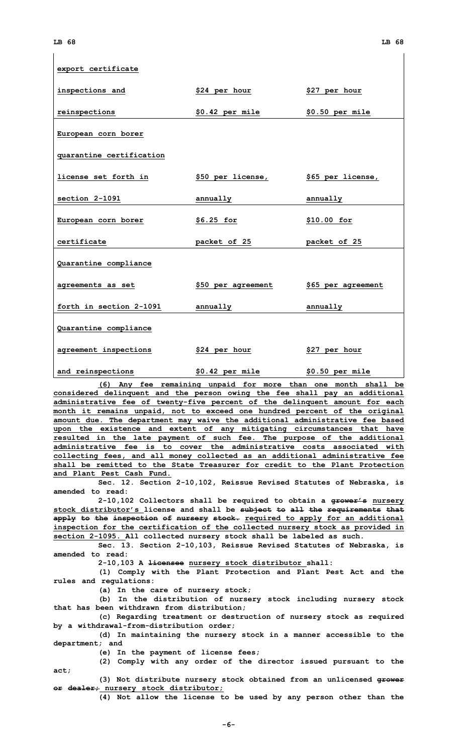$\mathbf{I}$ 

| export certificate       |                    |                    |
|--------------------------|--------------------|--------------------|
| inspections and          | \$24 per hour      | \$27 per hour      |
| reinspections            | $$0.42$ per mile   | \$0.50 per mile    |
| European corn borer      |                    |                    |
| quarantine certification |                    |                    |
| license set forth in     | \$50 per license,  | \$65 per license,  |
| section 2-1091           | <u>annually</u>    | <u>annually</u>    |
| European corn borer      | $$6.25$ for        | \$10.00 for        |
| certificate              | packet of 25       | packet of 25       |
| Quarantine compliance    |                    |                    |
| agreements as set        | \$50 per agreement | \$65 per agreement |
| forth in section 2-1091  | annually           | annually           |
| Quarantine compliance    |                    |                    |
| agreement inspections    | \$24 per hour      | $$27$ per hour     |
| and reinspections        | \$0.42 per mile    | \$0.50 per mile    |

**(6) Any fee remaining unpaid for more than one month shall be considered delinquent and the person owing the fee shall pay an additional administrative fee of twenty-five percent of the delinquent amount for each month it remains unpaid, not to exceed one hundred percent of the original amount due. The department may waive the additional administrative fee based upon the existence and extent of any mitigating circumstances that have resulted in the late payment of such fee. The purpose of the additional administrative fee is to cover the administrative costs associated with collecting fees, and all money collected as an additional administrative fee shall be remitted to the State Treasurer for credit to the Plant Protection and Plant Pest Cash Fund.**

**Sec. 12. Section 2-10,102, Reissue Revised Statutes of Nebraska, is amended to read:**

**2-10,102 Collectors shall be required to obtain <sup>a</sup> grower's nursery stock distributor's license and shall be subject to all the requirements that apply to the inspection of nursery stock. required to apply for an additional inspection for the certification of the collected nursery stock as provided in section 2-1095. All collected nursery stock shall be labeled as such.**

**Sec. 13. Section 2-10,103, Reissue Revised Statutes of Nebraska, is amended to read:**

**2-10,103 <sup>A</sup> licensee nursery stock distributor shall:**

**(1) Comply with the Plant Protection and Plant Pest Act and the rules and regulations:**

**(a) In the care of nursery stock;**

**(b) In the distribution of nursery stock including nursery stock that has been withdrawn from distribution;**

**(c) Regarding treatment or destruction of nursery stock as required by <sup>a</sup> withdrawal-from-distribution order;**

**(d) In maintaining the nursery stock in <sup>a</sup> manner accessible to the department; and**

**(e) In the payment of license fees;**

**(2) Comply with any order of the director issued pursuant to the act;**

**(3) Not distribute nursery stock obtained from an unlicensed grower or dealer; nursery stock distributor;**

**(4) Not allow the license to be used by any person other than the**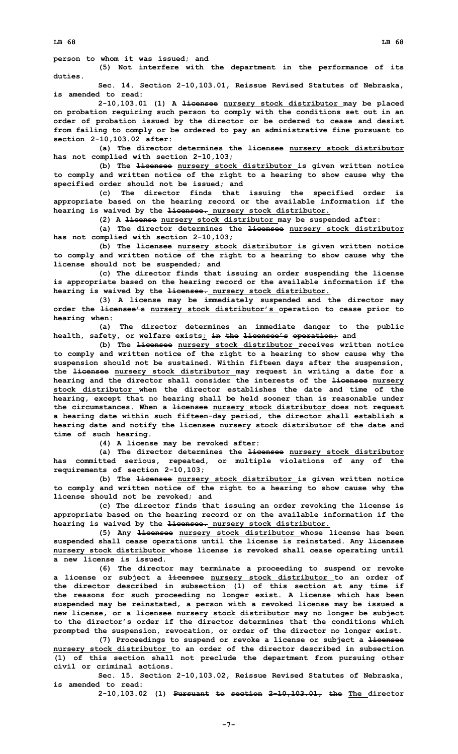**person to whom it was issued; and**

**(5) Not interfere with the department in the performance of its duties.**

**Sec. 14. Section 2-10,103.01, Reissue Revised Statutes of Nebraska, is amended to read:**

**2-10,103.01 (1) <sup>A</sup> licensee nursery stock distributor may be placed on probation requiring such person to comply with the conditions set out in an order of probation issued by the director or be ordered to cease and desist from failing to comply or be ordered to pay an administrative fine pursuant to section 2-10,103.02 after:**

**(a) The director determines the licensee nursery stock distributor has not complied with section 2-10,103;**

**(b) The licensee nursery stock distributor is given written notice to comply and written notice of the right to <sup>a</sup> hearing to show cause why the specified order should not be issued; and**

**(c) The director finds that issuing the specified order is appropriate based on the hearing record or the available information if the hearing is waived by the licensee. nursery stock distributor.**

**(2) <sup>A</sup> license nursery stock distributor may be suspended after:**

**(a) The director determines the licensee nursery stock distributor has not complied with section 2-10,103;**

**(b) The licensee nursery stock distributor is given written notice to comply and written notice of the right to <sup>a</sup> hearing to show cause why the license should not be suspended; and**

**(c) The director finds that issuing an order suspending the license is appropriate based on the hearing record or the available information if the hearing is waived by the licensee. nursery stock distributor.**

**(3) <sup>A</sup> license may be immediately suspended and the director may order the licensee's nursery stock distributor's operation to cease prior to hearing when:**

**(a) The director determines an immediate danger to the public health, safety, or welfare exists; in the licensee's operation; and**

**(b) The licensee nursery stock distributor receives written notice to comply and written notice of the right to <sup>a</sup> hearing to show cause why the suspension should not be sustained. Within fifteen days after the suspension, the licensee nursery stock distributor may request in writing <sup>a</sup> date for <sup>a</sup> hearing and the director shall consider the interests of the licensee nursery stock distributor when the director establishes the date and time of the hearing, except that no hearing shall be held sooner than is reasonable under the circumstances. When <sup>a</sup> licensee nursery stock distributor does not request <sup>a</sup> hearing date within such fifteen-day period, the director shall establish <sup>a</sup> hearing date and notify the licensee nursery stock distributor of the date and time of such hearing.**

**(4) <sup>A</sup> license may be revoked after:**

**(a) The director determines the licensee nursery stock distributor has committed serious, repeated, or multiple violations of any of the requirements of section 2-10,103;**

**(b) The licensee nursery stock distributor is given written notice to comply and written notice of the right to <sup>a</sup> hearing to show cause why the license should not be revoked; and**

**(c) The director finds that issuing an order revoking the license is appropriate based on the hearing record or on the available information if the hearing is waived by the licensee. nursery stock distributor.**

**(5) Any licensee nursery stock distributor whose license has been suspended shall cease operations until the license is reinstated. Any licensee nursery stock distributor whose license is revoked shall cease operating until a new license is issued.**

**(6) The director may terminate <sup>a</sup> proceeding to suspend or revoke <sup>a</sup> license or subject <sup>a</sup> licensee nursery stock distributor to an order of the director described in subsection (1) of this section at any time if the reasons for such proceeding no longer exist. A license which has been suspended may be reinstated, <sup>a</sup> person with <sup>a</sup> revoked license may be issued <sup>a</sup> new license, or <sup>a</sup> licensee nursery stock distributor may no longer be subject to the director's order if the director determines that the conditions which prompted the suspension, revocation, or order of the director no longer exist.**

**(7) Proceedings to suspend or revoke <sup>a</sup> license or subject <sup>a</sup> licensee nursery stock distributor to an order of the director described in subsection (1) of this section shall not preclude the department from pursuing other civil or criminal actions.**

**Sec. 15. Section 2-10,103.02, Reissue Revised Statutes of Nebraska, is amended to read:**

**2-10,103.02 (1) Pursuant to section 2-10,103.01, the The director**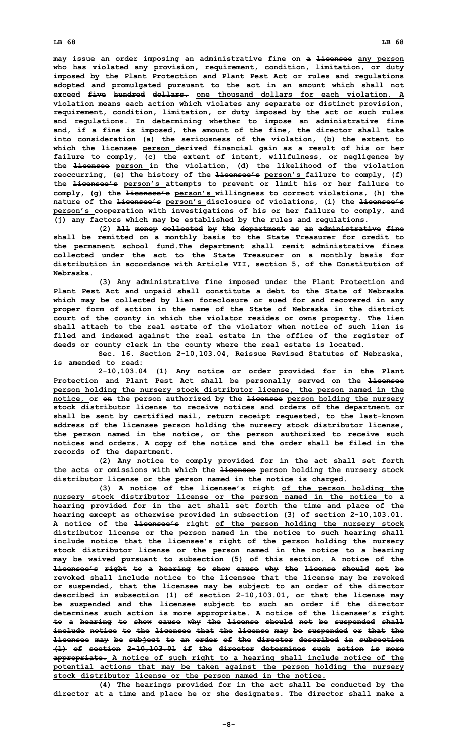**may issue an order imposing an administrative fine on <sup>a</sup> licensee any person who has violated any provision, requirement, condition, limitation, or duty imposed by the Plant Protection and Plant Pest Act or rules and regulations adopted and promulgated pursuant to the act in an amount which shall not exceed five hundred dollars. one thousand dollars for each violation. A violation means each action which violates any separate or distinct provision, requirement, condition, limitation, or duty imposed by the act or such rules and regulations. In determining whether to impose an administrative fine and, if <sup>a</sup> fine is imposed, the amount of the fine, the director shall take into consideration (a) the seriousness of the violation, (b) the extent to which the licensee person derived financial gain as <sup>a</sup> result of his or her failure to comply, (c) the extent of intent, willfulness, or negligence by the licensee person in the violation, (d) the likelihood of the violation reoccurring, (e) the history of the licensee's person's failure to comply, (f) the licensee's person's attempts to prevent or limit his or her failure to comply, (g) the licensee's person's willingness to correct violations, (h) the nature of the licensee's person's disclosure of violations, (i) the licensee's person's cooperation with investigations of his or her failure to comply, and (j) any factors which may be established by the rules and regulations.**

**(2) All money collected by the department as an administrative fine shall be remitted on <sup>a</sup> monthly basis to the State Treasurer for credit to the permanent school fund.The department shall remit administrative fines collected under the act to the State Treasurer on <sup>a</sup> monthly basis for distribution in accordance with Article VII, section 5, of the Constitution of Nebraska.**

**(3) Any administrative fine imposed under the Plant Protection and Plant Pest Act and unpaid shall constitute <sup>a</sup> debt to the State of Nebraska which may be collected by lien foreclosure or sued for and recovered in any proper form of action in the name of the State of Nebraska in the district court of the county in which the violator resides or owns property. The lien shall attach to the real estate of the violator when notice of such lien is filed and indexed against the real estate in the office of the register of deeds or county clerk in the county where the real estate is located.**

**Sec. 16. Section 2-10,103.04, Reissue Revised Statutes of Nebraska, is amended to read:**

**2-10,103.04 (1) Any notice or order provided for in the Plant Protection and Plant Pest Act shall be personally served on the licensee person holding the nursery stock distributor license, the person named in the notice, or on the person authorized by the licensee person holding the nursery stock distributor license to receive notices and orders of the department or shall be sent by certified mail, return receipt requested, to the last-known address of the licensee person holding the nursery stock distributor license, the person named in the notice, or the person authorized to receive such notices and orders. A copy of the notice and the order shall be filed in the records of the department.**

**(2) Any notice to comply provided for in the act shall set forth the acts or omissions with which the licensee person holding the nursery stock distributor license or the person named in the notice is charged.**

**(3) <sup>A</sup> notice of the licensee's right of the person holding the nursery stock distributor license or the person named in the notice to <sup>a</sup> hearing provided for in the act shall set forth the time and place of the hearing except as otherwise provided in subsection (3) of section 2-10,103.01. A notice of the licensee's right of the person holding the nursery stock distributor license or the person named in the notice to such hearing shall include notice that the licensee's right of the person holding the nursery stock distributor license or the person named in the notice to <sup>a</sup> hearing may be waived pursuant to subsection (5) of this section. <sup>A</sup> notice of the licensee's right to <sup>a</sup> hearing to show cause why the license should not be revoked shall include notice to the licensee that the license may be revoked or suspended, that the licensee may be subject to an order of the director described in subsection (1) of section 2-10,103.01, or that the license may be suspended and the licensee subject to such an order if the director determines such action is more appropriate. A notice of the licensee's right to <sup>a</sup> hearing to show cause why the license should not be suspended shall include notice to the licensee that the license may be suspended or that the licensee may be subject to an order of the director described in subsection (1) of section 2-10,103.01 if the director determines such action is more appropriate. A notice of such right to <sup>a</sup> hearing shall include notice of the potential actions that may be taken against the person holding the nursery stock distributor license or the person named in the notice.**

**(4) The hearings provided for in the act shall be conducted by the director at <sup>a</sup> time and place he or she designates. The director shall make <sup>a</sup>**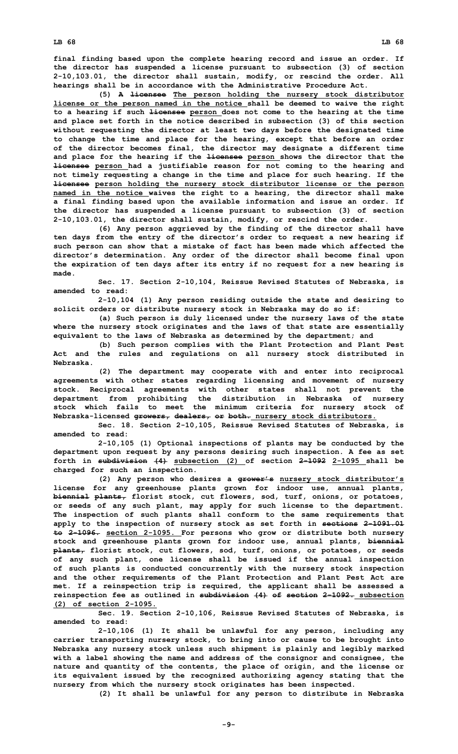**final finding based upon the complete hearing record and issue an order. If the director has suspended <sup>a</sup> license pursuant to subsection (3) of section 2-10,103.01, the director shall sustain, modify, or rescind the order. All hearings shall be in accordance with the Administrative Procedure Act.**

**(5) <sup>A</sup> licensee The person holding the nursery stock distributor license or the person named in the notice shall be deemed to waive the right to <sup>a</sup> hearing if such licensee person does not come to the hearing at the time and place set forth in the notice described in subsection (3) of this section without requesting the director at least two days before the designated time to change the time and place for the hearing, except that before an order of the director becomes final, the director may designate <sup>a</sup> different time and place for the hearing if the licensee person shows the director that the licensee person had <sup>a</sup> justifiable reason for not coming to the hearing and not timely requesting <sup>a</sup> change in the time and place for such hearing. If the licensee person holding the nursery stock distributor license or the person named in the notice waives the right to <sup>a</sup> hearing, the director shall make <sup>a</sup> final finding based upon the available information and issue an order. If the director has suspended <sup>a</sup> license pursuant to subsection (3) of section 2-10,103.01, the director shall sustain, modify, or rescind the order.**

**(6) Any person aggrieved by the finding of the director shall have ten days from the entry of the director's order to request <sup>a</sup> new hearing if such person can show that <sup>a</sup> mistake of fact has been made which affected the director's determination. Any order of the director shall become final upon the expiration of ten days after its entry if no request for <sup>a</sup> new hearing is made.**

**Sec. 17. Section 2-10,104, Reissue Revised Statutes of Nebraska, is amended to read:**

**2-10,104 (1) Any person residing outside the state and desiring to solicit orders or distribute nursery stock in Nebraska may do so if:**

**(a) Such person is duly licensed under the nursery laws of the state where the nursery stock originates and the laws of that state are essentially equivalent to the laws of Nebraska as determined by the department; and**

**(b) Such person complies with the Plant Protection and Plant Pest Act and the rules and regulations on all nursery stock distributed in Nebraska.**

**(2) The department may cooperate with and enter into reciprocal agreements with other states regarding licensing and movement of nursery stock. Reciprocal agreements with other states shall not prevent the department from prohibiting the distribution in Nebraska of nursery stock which fails to meet the minimum criteria for nursery stock of Nebraska-licensed growers, dealers, or both. nursery stock distributors.**

**Sec. 18. Section 2-10,105, Reissue Revised Statutes of Nebraska, is amended to read:**

**2-10,105 (1) Optional inspections of plants may be conducted by the department upon request by any persons desiring such inspection. A fee as set forth in subdivision (4) subsection (2) of section 2-1092 2-1095 shall be charged for such an inspection.**

**(2) Any person who desires <sup>a</sup> grower's nursery stock distributor's license for any greenhouse plants grown for indoor use, annual plants, biennial plants, florist stock, cut flowers, sod, turf, onions, or potatoes, or seeds of any such plant, may apply for such license to the department. The inspection of such plants shall conform to the same requirements that apply to the inspection of nursery stock as set forth in sections 2-1091.01 to 2-1096. section 2-1095. For persons who grow or distribute both nursery stock and greenhouse plants grown for indoor use, annual plants, biennial plants, florist stock, cut flowers, sod, turf, onions, or potatoes, or seeds of any such plant, one license shall be issued if the annual inspection of such plants is conducted concurrently with the nursery stock inspection and the other requirements of the Plant Protection and Plant Pest Act are met. If <sup>a</sup> reinspection trip is required, the applicant shall be assessed <sup>a</sup> reinspection fee as outlined in subdivision (4) of section 2-1092. subsection (2) of section 2-1095.**

**Sec. 19. Section 2-10,106, Reissue Revised Statutes of Nebraska, is amended to read:**

**2-10,106 (1) It shall be unlawful for any person, including any carrier transporting nursery stock, to bring into or cause to be brought into Nebraska any nursery stock unless such shipment is plainly and legibly marked with <sup>a</sup> label showing the name and address of the consignor and consignee, the nature and quantity of the contents, the place of origin, and the license or its equivalent issued by the recognized authorizing agency stating that the nursery from which the nursery stock originates has been inspected.**

**(2) It shall be unlawful for any person to distribute in Nebraska**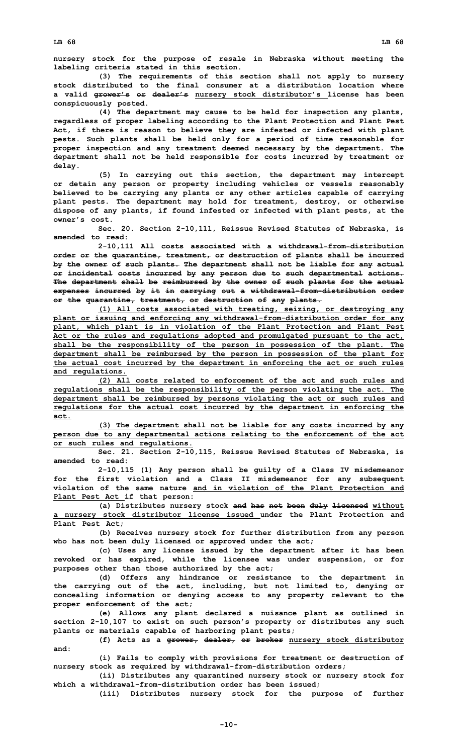**nursery stock for the purpose of resale in Nebraska without meeting the labeling criteria stated in this section.**

**(3) The requirements of this section shall not apply to nursery stock distributed to the final consumer at a distribution location where <sup>a</sup> valid grower's or dealer's nursery stock distributor's license has been conspicuously posted.**

**(4) The department may cause to be held for inspection any plants, regardless of proper labeling according to the Plant Protection and Plant Pest Act, if there is reason to believe they are infested or infected with plant pests. Such plants shall be held only for <sup>a</sup> period of time reasonable for proper inspection and any treatment deemed necessary by the department. The department shall not be held responsible for costs incurred by treatment or delay.**

**(5) In carrying out this section, the department may intercept or detain any person or property including vehicles or vessels reasonably believed to be carrying any plants or any other articles capable of carrying plant pests. The department may hold for treatment, destroy, or otherwise dispose of any plants, if found infested or infected with plant pests, at the owner's cost.**

**Sec. 20. Section 2-10,111, Reissue Revised Statutes of Nebraska, is amended to read:**

**2-10,111 All costs associated with <sup>a</sup> withdrawal-from-distribution order or the quarantine, treatment, or destruction of plants shall be incurred by the owner of such plants. The department shall not be liable for any actual or incidental costs incurred by any person due to such departmental actions. The department shall be reimbursed by the owner of such plants for the actual expenses incurred by it in carrying out <sup>a</sup> withdrawal-from-distribution order or the quarantine, treatment, or destruction of any plants.**

**(1) All costs associated with treating, seizing, or destroying any plant or issuing and enforcing any withdrawal-from-distribution order for any plant, which plant is in violation of the Plant Protection and Plant Pest Act or the rules and regulations adopted and promulgated pursuant to the act, shall be the responsibility of the person in possession of the plant. The department shall be reimbursed by the person in possession of the plant for the actual cost incurred by the department in enforcing the act or such rules and regulations.**

**(2) All costs related to enforcement of the act and such rules and regulations shall be the responsibility of the person violating the act. The department shall be reimbursed by persons violating the act or such rules and regulations for the actual cost incurred by the department in enforcing the act.**

**(3) The department shall not be liable for any costs incurred by any person due to any departmental actions relating to the enforcement of the act or such rules and regulations.**

**Sec. 21. Section 2-10,115, Reissue Revised Statutes of Nebraska, is amended to read:**

**2-10,115 (1) Any person shall be guilty of <sup>a</sup> Class IV misdemeanor for the first violation and <sup>a</sup> Class II misdemeanor for any subsequent violation of the same nature and in violation of the Plant Protection and Plant Pest Act if that person:**

**(a) Distributes nursery stock and has not been duly licensed without <sup>a</sup> nursery stock distributor license issued under the Plant Protection and Plant Pest Act;**

**(b) Receives nursery stock for further distribution from any person who has not been duly licensed or approved under the act;**

**(c) Uses any license issued by the department after it has been revoked or has expired, while the licensee was under suspension, or for purposes other than those authorized by the act;**

**(d) Offers any hindrance or resistance to the department in the carrying out of the act, including, but not limited to, denying or concealing information or denying access to any property relevant to the proper enforcement of the act;**

**(e) Allows any plant declared <sup>a</sup> nuisance plant as outlined in section 2-10,107 to exist on such person's property or distributes any such plants or materials capable of harboring plant pests;**

**(f) Acts as <sup>a</sup> grower, dealer, or broker nursery stock distributor and:**

**(i) Fails to comply with provisions for treatment or destruction of nursery stock as required by withdrawal-from-distribution orders;**

**(ii) Distributes any quarantined nursery stock or nursery stock for which <sup>a</sup> withdrawal-from-distribution order has been issued;**

**(iii) Distributes nursery stock for the purpose of further**